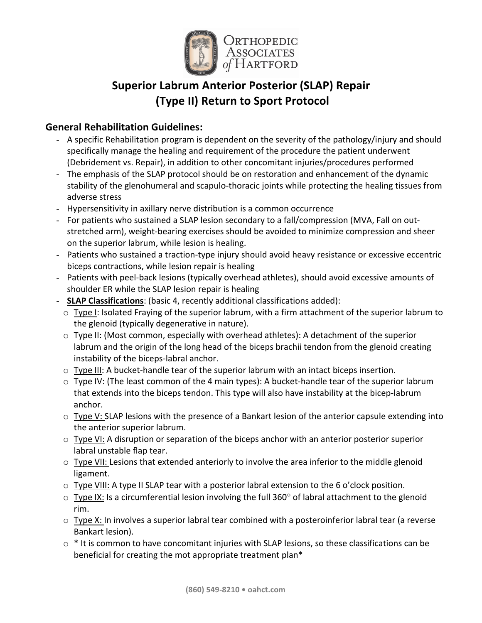

# **Superior Labrum Anterior Posterior (SLAP) Repair (Type II) Return to Sport Protocol**

# **General Rehabilitation Guidelines:**

- A specific Rehabilitation program is dependent on the severity of the pathology/injury and should specifically manage the healing and requirement of the procedure the patient underwent (Debridement vs. Repair), in addition to other concomitant injuries/procedures performed
- The emphasis of the SLAP protocol should be on restoration and enhancement of the dynamic stability of the glenohumeral and scapulo-thoracic joints while protecting the healing tissues from adverse stress
- Hypersensitivity in axillary nerve distribution is a common occurrence
- For patients who sustained a SLAP lesion secondary to a fall/compression (MVA, Fall on outstretched arm), weight-bearing exercises should be avoided to minimize compression and sheer on the superior labrum, while lesion is healing.
- Patients who sustained a traction-type injury should avoid heavy resistance or excessive eccentric biceps contractions, while lesion repair is healing
- Patients with peel-back lesions (typically overhead athletes), should avoid excessive amounts of shoulder ER while the SLAP lesion repair is healing
- **SLAP Classifications**: (basic 4, recently additional classifications added):
	- $\circ$  Type I: Isolated Fraying of the superior labrum, with a firm attachment of the superior labrum to the glenoid (typically degenerative in nature).
	- $\circ$  Type II: (Most common, especially with overhead athletes): A detachment of the superior labrum and the origin of the long head of the biceps brachii tendon from the glenoid creating instability of the biceps-labral anchor.
	- $\circ$  Type III: A bucket-handle tear of the superior labrum with an intact biceps insertion.
	- $\circ$  Type IV: (The least common of the 4 main types): A bucket-handle tear of the superior labrum that extends into the biceps tendon. This type will also have instability at the bicep-labrum anchor.
	- o Type V: SLAP lesions with the presence of a Bankart lesion of the anterior capsule extending into the anterior superior labrum.
	- $\circ$  Type VI: A disruption or separation of the biceps anchor with an anterior posterior superior labral unstable flap tear.
	- $\circ$  Type VII: Lesions that extended anteriorly to involve the area inferior to the middle glenoid ligament.
	- $\circ$  Type VIII: A type II SLAP tear with a posterior labral extension to the 6 o'clock position.
	- $\circ$  Type IX: Is a circumferential lesion involving the full 360 $\circ$  of labral attachment to the glenoid rim.
	- $\circ$  Type X: In involves a superior labral tear combined with a posteroinferior labral tear (a reverse Bankart lesion).
	- $\circ$  \* It is common to have concomitant injuries with SLAP lesions, so these classifications can be beneficial for creating the mot appropriate treatment plan\*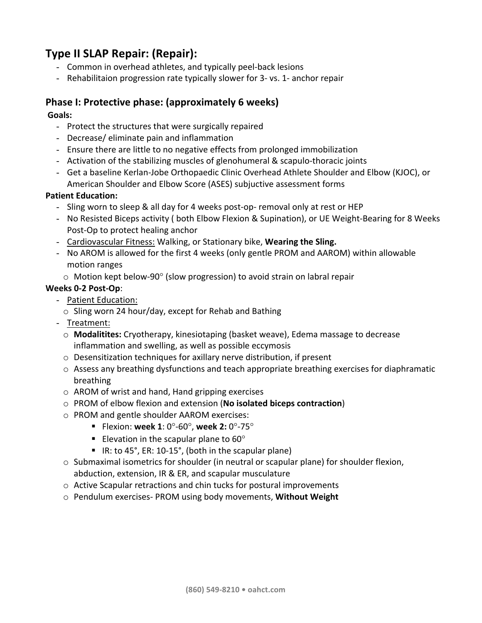# **Type II SLAP Repair: (Repair):**

- Common in overhead athletes, and typically peel-back lesions
- Rehabilitaion progression rate typically slower for 3- vs. 1- anchor repair

# **Phase I: Protective phase: (approximately 6 weeks)**

## **Goals:**

- Protect the structures that were surgically repaired
- Decrease/ eliminate pain and inflammation
- Ensure there are little to no negative effects from prolonged immobilization
- Activation of the stabilizing muscles of glenohumeral & scapulo-thoracic joints
- Get a baseline Kerlan-Jobe Orthopaedic Clinic Overhead Athlete Shoulder and Elbow (KJOC), or American Shoulder and Elbow Score (ASES) subjuctive assessment forms

### **Patient Education:**

- Sling worn to sleep & all day for 4 weeks post-op- removal only at rest or HEP
- No Resisted Biceps activity ( both Elbow Flexion & Supination), or UE Weight-Bearing for 8 Weeks Post-Op to protect healing anchor
- Cardiovascular Fitness: Walking, or Stationary bike, Wearing the Sling.
- No AROM is allowed for the first 4 weeks (only gentle PROM and AAROM) within allowable motion ranges
	- $\circ$  Motion kept below-90 $\circ$  (slow progression) to avoid strain on labral repair

# **Weeks 0-2 Post-Op**:

- Patient Education:
	- $\circ$  Sling worn 24 hour/day, except for Rehab and Bathing
- Treatment:
	- o **Modalitites:** Cryotherapy, kinesiotaping (basket weave), Edema massage to decrease inflammation and swelling, as well as possible eccymosis
	- $\circ$  Desensitization techniques for axillary nerve distribution, if present
	- $\circ$  Assess any breathing dysfunctions and teach appropriate breathing exercises for diaphramatic breathing
	- $\circ$  AROM of wrist and hand, Hand gripping exercises
	- o PROM of elbow flexion and extension (**No isolated biceps contraction**)
	- o PROM and gentle shoulder AAROM exercises:
		- **Flexion: week 1:**  $0^{\circ}$ -60°, week 2:  $0^{\circ}$ -75°
		- Elevation in the scapular plane to  $60^{\circ}$
		- IR: to 45°, ER: 10-15°, (both in the scapular plane)
	- $\circ$  Submaximal isometrics for shoulder (in neutral or scapular plane) for shoulder flexion, abduction, extension, IR & ER, and scapular musculature
	- $\circ$  Active Scapular retractions and chin tucks for postural improvements
	- o Pendulum exercises- PROM using body movements, **Without Weight**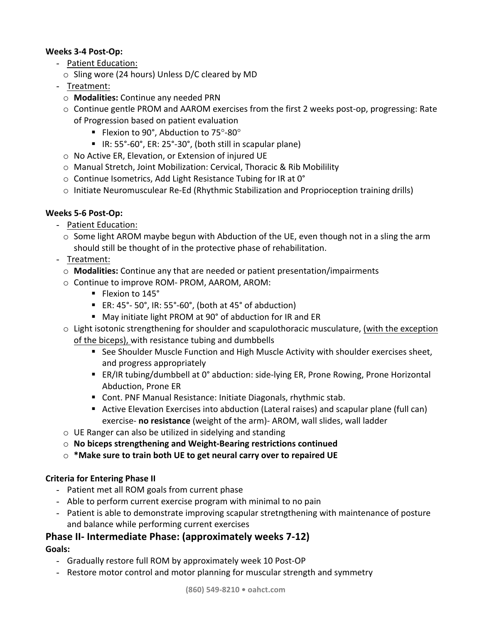## **Weeks 3-4 Post-Op:**

- Patient Education:
- $\circ$  Sling wore (24 hours) Unless D/C cleared by MD
- Treatment:
	- o **Modalities:** Continue any needed PRN
	- $\circ$  Continue gentle PROM and AAROM exercises from the first 2 weeks post-op, progressing: Rate of Progression based on patient evaluation
		- Flexion to 90°, Abduction to  $75^{\circ}$ -80°
		- IR:  $55^{\circ}$ -60°, ER:  $25^{\circ}$ -30°, (both still in scapular plane)
	- o No Active ER, Elevation, or Extension of injured UE
	- $\circ$  Manual Stretch, Joint Mobilization: Cervical, Thoracic & Rib Mobilility
	- $\circ$  Continue Isometrics, Add Light Resistance Tubing for IR at 0°
	- $\circ$  Initiate Neuromusculear Re-Ed (Rhythmic Stabilization and Proprioception training drills)

## **Weeks 5-6 Post-Op:**

- Patient Education:
	- $\circ$  Some light AROM maybe begun with Abduction of the UE, even though not in a sling the arm should still be thought of in the protective phase of rehabilitation.
- Treatment:
	- $\circ$  **Modalities:** Continue any that are needed or patient presentation/impairments
	- $\circ$  Continue to improve ROM- PROM, AAROM, AROM:
		- Flexion to 145°
		- ER:  $45^\circ$  50°, IR: 55°-60°, (both at 45° of abduction)
		- May initiate light PROM at 90° of abduction for IR and ER
	- $\circ$  Light isotonic strengthening for shoulder and scapulothoracic musculature, (with the exception of the biceps), with resistance tubing and dumbbells
		- See Shoulder Muscle Function and High Muscle Activity with shoulder exercises sheet, and progress appropriately
		- ER/IR tubing/dumbbell at 0° abduction: side-lying ER, Prone Rowing, Prone Horizontal Abduction, Prone ER
		- Cont. PNF Manual Resistance: Initiate Diagonals, rhythmic stab.
		- Active Elevation Exercises into abduction (Lateral raises) and scapular plane (full can) exercise- **no resistance** (weight of the arm)- AROM, wall slides, wall ladder
	- $\circ$  UE Ranger can also be utilized in sidelying and standing
	- o **No biceps strengthening and Weight-Bearing restrictions continued**
	- $\circ$  \*Make sure to train both UE to get neural carry over to repaired UE

# **Criteria for Entering Phase II**

- Patient met all ROM goals from current phase
- Able to perform current exercise program with minimal to no pain
- Patient is able to demonstrate improving scapular stretngthening with maintenance of posture and balance while performing current exercises

# **Phase II-** Intermediate Phase: (approximately weeks 7-12)

### **Goals:**

- Gradually restore full ROM by approximately week 10 Post-OP
- Restore motor control and motor planning for muscular strength and symmetry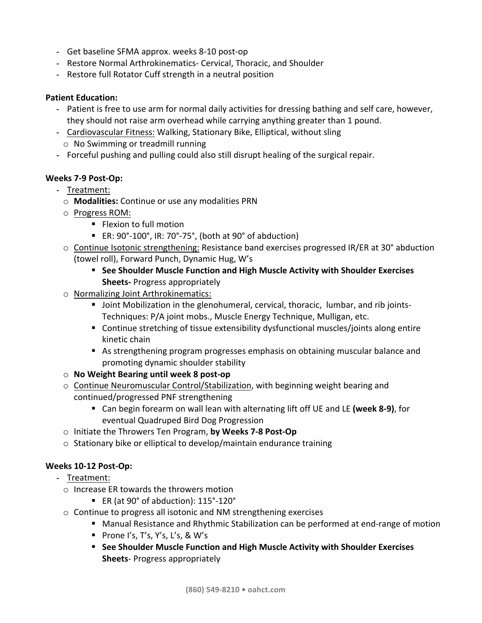- Get baseline SFMA approx. weeks 8-10 post-op
- Restore Normal Arthrokinematics- Cervical, Thoracic, and Shoulder
- Restore full Rotator Cuff strength in a neutral position

#### **Patient Education:**

- Patient is free to use arm for normal daily activities for dressing bathing and self care, however, they should not raise arm overhead while carrying anything greater than 1 pound.
- Cardiovascular Fitness: Walking, Stationary Bike, Elliptical, without sling  $\circ$  No Swimming or treadmill running
- Forceful pushing and pulling could also still disrupt healing of the surgical repair.

#### **Weeks 7-9 Post-Op:**

- Treatment:
	- o **Modalities:** Continue or use any modalities PRN
	- $\circ$  Progress ROM:
		- Flexion to full motion
		- ER:  $90^{\circ}$ -100°, IR: 70°-75°, (both at  $90^{\circ}$  of abduction)
	- $\circ$  Continue Isotonic strengthening: Resistance band exercises progressed IR/ER at 30° abduction (towel roll), Forward Punch, Dynamic Hug, W's
		- See Shoulder Muscle Function and High Muscle Activity with Shoulder Exercises **Sheets-** Progress appropriately
	- $\circ$  Normalizing Joint Arthrokinematics:
		- Joint Mobilization in the glenohumeral, cervical, thoracic, lumbar, and rib joints-Techniques: P/A joint mobs., Muscle Energy Technique, Mulligan, etc.
		- Continue stretching of tissue extensibility dysfunctional muscles/joints along entire kinetic chain
		- As strengthening program progresses emphasis on obtaining muscular balance and promoting dynamic shoulder stability
	- o **No Weight Bearing until week 8 post-op**
	- $\circ$  Continue Neuromuscular Control/Stabilization, with beginning weight bearing and continued/progressed PNF strengthening
		- Can begin forearm on wall lean with alternating lift off UE and LE (week 8-9), for eventual Quadruped Bird Dog Progression
	- o Initiate the Throwers Ten Program, **by Weeks 7-8 Post-Op**
	- $\circ$  Stationary bike or elliptical to develop/maintain endurance training

### **Weeks 10-12 Post-Op:**

- Treatment:
	- $\circ$  Increase ER towards the throwers motion
		- ER (at 90° of abduction): 115°-120°
	- $\circ$  Continue to progress all isotonic and NM strengthening exercises
		- Manual Resistance and Rhythmic Stabilization can be performed at end-range of motion
		- **Prone I's, T's, Y's, L's, & W's**
		- See Shoulder Muscle Function and High Muscle Activity with Shoulder Exercises **Sheets**- Progress appropriately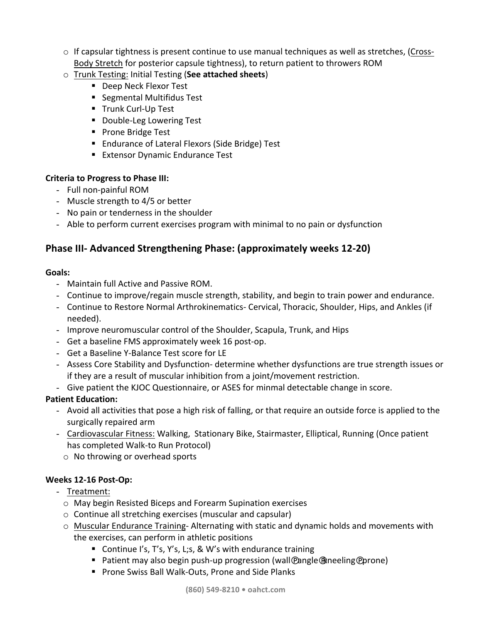- $\circ$  If capsular tightness is present continue to use manual techniques as well as stretches, (Cross-Body Stretch for posterior capsule tightness), to return patient to throwers ROM
- o Trunk Testing: Initial Testing (**See attached sheets**)
	- Deep Neck Flexor Test
	- Segmental Multifidus Test
	- Trunk Curl-Up Test
	- **•** Double-Leg Lowering Test
	- Prone Bridge Test
	- Endurance of Lateral Flexors (Side Bridge) Test
	- Extensor Dynamic Endurance Test

#### **Criteria to Progress to Phase III:**

- Full non-painful ROM
- Muscle strength to 4/5 or better
- No pain or tenderness in the shoulder
- Able to perform current exercises program with minimal to no pain or dysfunction

# **Phase III-** Advanced Strengthening Phase: (approximately weeks 12-20)

#### **Goals:**

- Maintain full Active and Passive ROM.
- Continue to improve/regain muscle strength, stability, and begin to train power and endurance.
- Continue to Restore Normal Arthrokinematics- Cervical, Thoracic, Shoulder, Hips, and Ankles (if needed).
- Improve neuromuscular control of the Shoulder, Scapula, Trunk, and Hips
- Get a baseline FMS approximately week 16 post-op.
- Get a Baseline Y-Balance Test score for LE
- Assess Core Stability and Dysfunction- determine whether dysfunctions are true strength issues or if they are a result of muscular inhibition from a joint/movement restriction.
- Give patient the KJOC Questionnaire, or ASES for minmal detectable change in score.

### **Patient Education:**

- Avoid all activities that pose a high risk of falling, or that require an outside force is applied to the surgically repaired arm
- Cardiovascular Fitness: Walking, Stationary Bike, Stairmaster, Elliptical, Running (Once patient has completed Walk-to Run Protocol)
	- $\circ$  No throwing or overhead sports

### **Weeks 12-16 Post-Op:**

- Treatment:
	- $\circ$  May begin Resisted Biceps and Forearm Supination exercises
	- $\circ$  Continue all stretching exercises (muscular and capsular)
	- $\circ$  Muscular Endurance Training- Alternating with static and dynamic holds and movements with the exercises, can perform in athletic positions
		- Continue I's, T's, Y's, L;s, & W's with endurance training
		- Patient may also begin push-up progression (wall@angle@neeling@prone)
		- Prone Swiss Ball Walk-Outs, Prone and Side Planks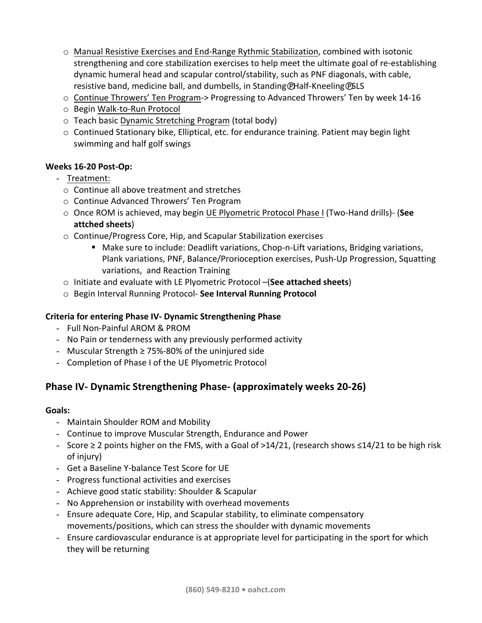- $\circ$  Manual Resistive Exercises and End-Range Rythmic Stabilization, combined with isotonic strengthening and core stabilization exercises to help meet the ultimate goal of re-establishing dynamic humeral head and scapular control/stability, such as PNF diagonals, with cable, resistive band, medicine ball, and dumbells, in Standing@Half-Kneeling@SLS
- $\circ$  Continue Throwers' Ten Program-> Progressing to Advanced Throwers' Ten by week 14-16
- o Begin Walk-to-Run Protocol
- $\circ$  Teach basic Dynamic Stretching Program (total body)
- $\circ$  Continued Stationary bike, Elliptical, etc. for endurance training. Patient may begin light swimming and half golf swings

### **Weeks 16-20 Post-Op:**

- Treatment:
	- $\circ$  Continue all above treatment and stretches
	- o Continue Advanced Throwers' Ten Program
	- $\circ$  Once ROM is achieved, may begin UE Plyometric Protocol Phase I (Two-Hand drills)- (See **attched sheets**)
	- $\circ$  Continue/Progress Core, Hip, and Scapular Stabilization exercises
		- Make sure to include: Deadlift variations, Chop-n-Lift variations, Bridging variations, Plank variations, PNF, Balance/Prorioception exercises, Push-Up Progression, Squatting variations, and Reaction Training
	- Initiate and evaluate with LE Plyometric Protocol –(See attached sheets)
	- $\circ$  Begin Interval Running Protocol- See Interval Running Protocol

### **Criteria for entering Phase IV- Dynamic Strengthening Phase**

- Full Non-Painful AROM & PROM
- No Pain or tenderness with any previously performed activity
- Muscular Strength  $\geq$  75%-80% of the uninjured side
- Completion of Phase I of the UE Plyometric Protocol

# **Phase IV-** Dynamic Strengthening Phase- (approximately weeks 20-26)

### **Goals:**

- Maintain Shoulder ROM and Mobility
- Continue to improve Muscular Strength, Endurance and Power
- Score ≥ 2 points higher on the FMS, with a Goal of >14/21, (research shows ≤14/21 to be high risk of injury)
- Get a Baseline Y-balance Test Score for UE
- Progress functional activities and exercises
- Achieve good static stability: Shoulder & Scapular
- No Apprehension or instability with overhead movements
- Ensure adequate Core, Hip, and Scapular stability, to eliminate compensatory movements/positions, which can stress the shoulder with dynamic movements
- Ensure cardiovascular endurance is at appropriate level for participating in the sport for which they will be returning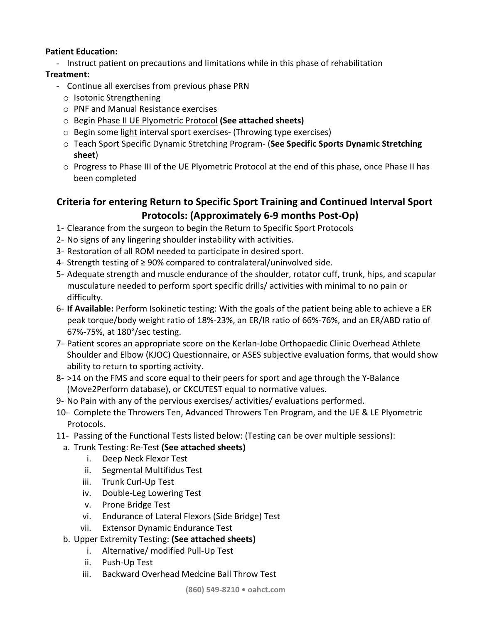### **Patient Education:**

- Instruct patient on precautions and limitations while in this phase of rehabilitation

## **Treatment:**

- Continue all exercises from previous phase PRN
	- $\circ$  Isotonic Strengthening
	- o PNF and Manual Resistance exercises
	- o Begin Phase II UE Plyometric Protocol **(See attached sheets)**
	- $\circ$  Begin some light interval sport exercises- (Throwing type exercises)
	- o Teach Sport Specific Dynamic Stretching Program- (See Specific Sports Dynamic Stretching **sheet**)
	- $\circ$  Progress to Phase III of the UE Plyometric Protocol at the end of this phase, once Phase II has been completed

# **Criteria for entering Return to Specific Sport Training and Continued Interval Sport Protocols: (Approximately 6-9 months Post-Op)**

- 1- Clearance from the surgeon to begin the Return to Specific Sport Protocols
- 2- No signs of any lingering shoulder instability with activities.
- 3- Restoration of all ROM needed to participate in desired sport.
- 4- Strength testing of ≥ 90% compared to contralateral/uninvolved side.
- 5- Adequate strength and muscle endurance of the shoulder, rotator cuff, trunk, hips, and scapular musculature needed to perform sport specific drills/ activities with minimal to no pain or difficulty.
- 6- If **Available:** Perform Isokinetic testing: With the goals of the patient being able to achieve a ER peak torque/body weight ratio of 18%-23%, an ER/IR ratio of 66%-76%, and an ER/ABD ratio of 67%-75%, at 180°/sec testing.
- 7- Patient scores an appropriate score on the Kerlan-Jobe Orthopaedic Clinic Overhead Athlete Shoulder and Elbow (KJOC) Questionnaire, or ASES subjective evaluation forms, that would show ability to return to sporting activity.
- 8- >14 on the FMS and score equal to their peers for sport and age through the Y-Balance (Move2Perform database), or CKCUTEST equal to normative values.
- 9- No Pain with any of the pervious exercises/ activities/ evaluations performed.

10- Complete the Throwers Ten, Advanced Throwers Ten Program, and the UE & LE Plyometric Protocols.

- 11- Passing of the Functional Tests listed below: (Testing can be over multiple sessions):
	- a. Trunk Testing: Re-Test (See attached sheets)
		- i. Deep Neck Flexor Test
		- ii. Segmental Multifidus Test
		- iii. Trunk Curl-Up Test
		- iv. Double-Leg Lowering Test
		- v. Prone Bridge Test
		- vi. Endurance of Lateral Flexors (Side Bridge) Test
		- vii. Extensor Dynamic Endurance Test
	- b. Upper Extremity Testing: (See attached sheets)
		- i. Alternative/ modified Pull-Up Test
		- ii. Push-Up Test
		- iii. Backward Overhead Medcine Ball Throw Test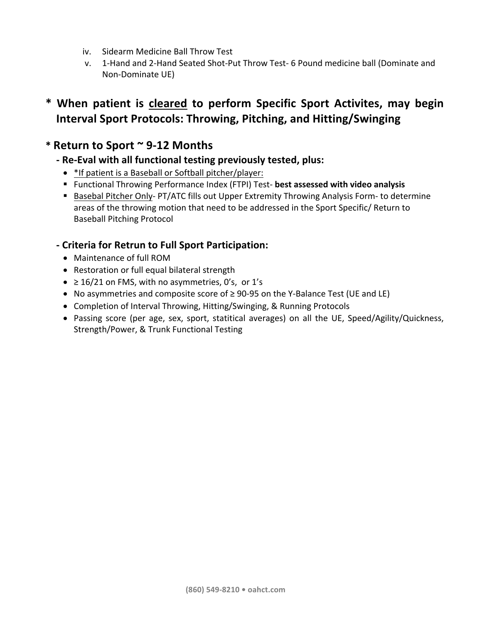- iv. Sidearm Medicine Ball Throw Test
- v. 1-Hand and 2-Hand Seated Shot-Put Throw Test- 6 Pound medicine ball (Dominate and Non-Dominate UE)

# **\* When patient is cleared to perform Specific Sport Activites, may begin Interval Sport Protocols: Throwing, Pitching, and Hitting/Swinging**

# **\* Return to Sport ~ 9-12 Months**

# **- Re-Eval with all functional testing previously tested, plus:**

- \* If patient is a Baseball or Softball pitcher/player:
- Functional Throwing Performance Index (FTPI) Test- best assessed with video analysis
- Basebal Pitcher Only- PT/ATC fills out Upper Extremity Throwing Analysis Form- to determine areas of the throwing motion that need to be addressed in the Sport Specific/ Return to Baseball Pitching Protocol

# **- Criteria for Retrun to Full Sport Participation:**

- Maintenance of full ROM
- Restoration or full equal bilateral strength
- $\geq 16/21$  on FMS, with no asymmetries, 0's, or 1's
- No asymmetries and composite score of ≥ 90-95 on the Y-Balance Test (UE and LE)
- Completion of Interval Throwing, Hitting/Swinging, & Running Protocols
- Passing score (per age, sex, sport, statitical averages) on all the UE, Speed/Agility/Quickness, Strength/Power, & Trunk Functional Testing